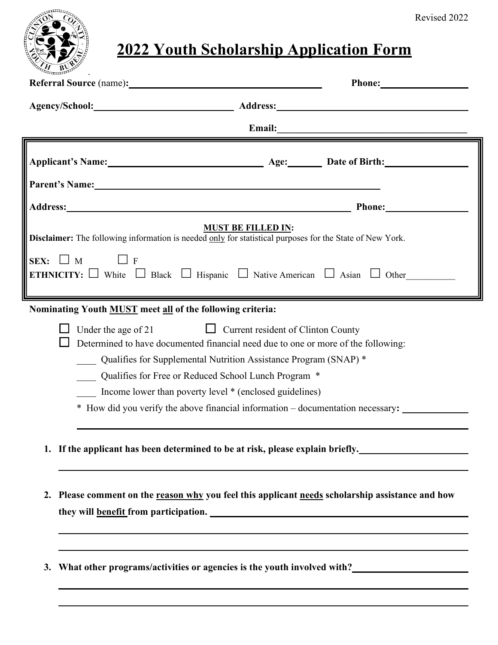

## **2022 Youth Scholarship Application Form**

| Referral Source (name):                                                                                                                                                                             |                                                                                                                                                                                                                                                                                       |
|-----------------------------------------------------------------------------------------------------------------------------------------------------------------------------------------------------|---------------------------------------------------------------------------------------------------------------------------------------------------------------------------------------------------------------------------------------------------------------------------------------|
|                                                                                                                                                                                                     | Agency/School: Address: Address:                                                                                                                                                                                                                                                      |
|                                                                                                                                                                                                     | Email:                                                                                                                                                                                                                                                                                |
| Applicant's Name: Age: Date of Birth:                                                                                                                                                               |                                                                                                                                                                                                                                                                                       |
| Parent's Name: Name:                                                                                                                                                                                | <b>Phone:</b>                                                                                                                                                                                                                                                                         |
| Disclaimer: The following information is needed only for statistical purposes for the State of New York.<br>SEX: $\Box$ M<br>$\overline{F}$                                                         | <b>MUST BE FILLED IN:</b><br><b>ETHNICITY:</b> White Black Hispanic Native American Asian Other                                                                                                                                                                                       |
| Nominating Youth MUST meet all of the following criteria:<br>Under the age of 21<br>Qualifies for Free or Reduced School Lunch Program *<br>Income lower than poverty level * (enclosed guidelines) | $\Box$ Current resident of Clinton County<br>Determined to have documented financial need due to one or more of the following:<br>Qualifies for Supplemental Nutrition Assistance Program (SNAP) *<br>* How did you verify the above financial information - documentation necessary: |
|                                                                                                                                                                                                     | 1. If the applicant has been determined to be at risk, please explain briefly.                                                                                                                                                                                                        |
|                                                                                                                                                                                                     | 2. Please comment on the reason why you feel this applicant needs scholarship assistance and how                                                                                                                                                                                      |
|                                                                                                                                                                                                     | 3. What other programs/activities or agencies is the youth involved with?<br><u>Lettiched with</u>                                                                                                                                                                                    |